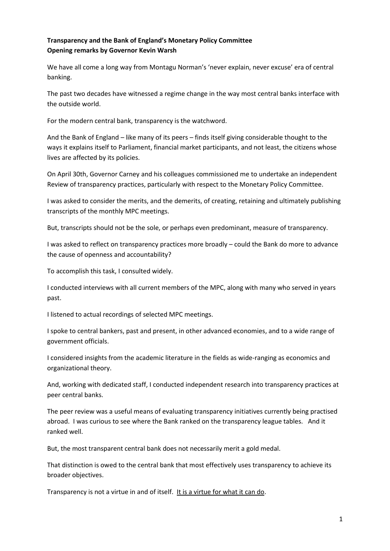## **Transparency and the Bank of England's Monetary Policy Committee Opening remarks by Governor Kevin Warsh**

We have all come a long way from Montagu Norman's 'never explain, never excuse' era of central banking.

The past two decades have witnessed a regime change in the way most central banks interface with the outside world.

For the modern central bank, transparency is the watchword.

And the Bank of England – like many of its peers – finds itself giving considerable thought to the ways it explains itself to Parliament, financial market participants, and not least, the citizens whose lives are affected by its policies.

On April 30th, Governor Carney and his colleagues commissioned me to undertake an independent Review of transparency practices, particularly with respect to the Monetary Policy Committee.

I was asked to consider the merits, and the demerits, of creating, retaining and ultimately publishing transcripts of the monthly MPC meetings.

But, transcripts should not be the sole, or perhaps even predominant, measure of transparency.

I was asked to reflect on transparency practices more broadly – could the Bank do more to advance the cause of openness and accountability?

To accomplish this task, I consulted widely.

I conducted interviews with all current members of the MPC, along with many who served in years past.

I listened to actual recordings of selected MPC meetings.

I spoke to central bankers, past and present, in other advanced economies, and to a wide range of government officials.

I considered insights from the academic literature in the fields as wide-ranging as economics and organizational theory.

And, working with dedicated staff, I conducted independent research into transparency practices at peer central banks.

The peer review was a useful means of evaluating transparency initiatives currently being practised abroad. I was curious to see where the Bank ranked on the transparency league tables. And it ranked well.

But, the most transparent central bank does not necessarily merit a gold medal.

That distinction is owed to the central bank that most effectively uses transparency to achieve its broader objectives.

Transparency is not a virtue in and of itself. It is a virtue for what it can do.